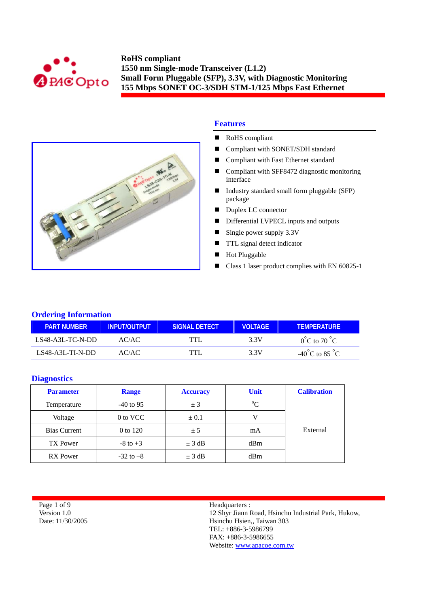



## **Features**

- RoHS compliant
- Compliant with SONET/SDH standard
- **Compliant with Fast Ethernet standard**
- Compliant with SFF8472 diagnostic monitoring interface
- Industry standard small form pluggable (SFP) package
- Duplex LC connector
- Differential LVPECL inputs and outputs
- $\blacksquare$  Single power supply 3.3V
- **TTL** signal detect indicator
- **Hot Pluggable**
- Class 1 laser product complies with EN 60825-1

## **Ordering Information**

| <b>PART NUMBER</b> | INPUT/OUTPUT | ISIGNAL DETECT | <b>VOLTAGE</b> | <b>TEMPERATURE</b>                 |
|--------------------|--------------|----------------|----------------|------------------------------------|
| $LS48-A3L-TC-N-DD$ | AC/AC        | TTI            | 3 3 V          | $0^{\circ}$ C to 70 $^{\circ}$ C   |
| $LS48-A3L-TI-N-DD$ | AC/AC        | TTI            | 3 3 V          | $-40^{\circ}$ C to 85 $^{\circ}$ C |

#### **Diagnostics**

| <b>Parameter</b>    | <b>Range</b>  | <b>Accuracy</b> | <b>Unit</b> | <b>Calibration</b> |
|---------------------|---------------|-----------------|-------------|--------------------|
| Temperature         | $-40$ to 95   | ± 3             | $\rm ^{o}C$ |                    |
| Voltage             | 0 to VCC      | $\pm 0.1$       |             |                    |
| <b>Bias Current</b> | 0 to 120      | ± 5             | mA          | External           |
| TX Power            | $-8$ to $+3$  | $\pm$ 3 dB      | dBm         |                    |
| <b>RX</b> Power     | $-32$ to $-8$ | $\pm$ 3 dB      | dBm         |                    |

Page 1 of 9 Version 1.0 Date: 11/30/2005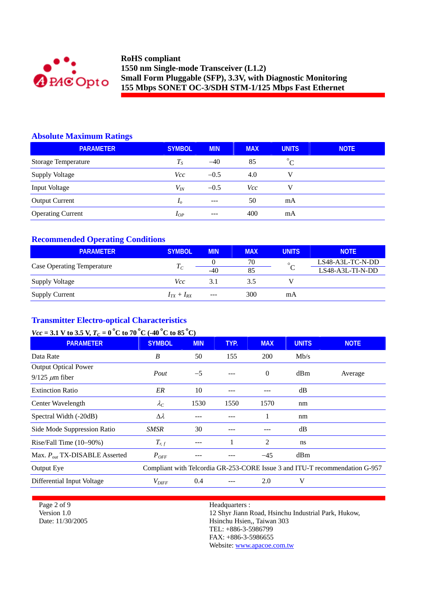

# **Absolute Maximum Ratings**

| <b>PARAMETER</b>           | <b>SYMBOL</b>  | <b>MIN</b> | <b>MAX</b> | <b>UNITS</b> | <b>NOTE</b> |
|----------------------------|----------------|------------|------------|--------------|-------------|
| <b>Storage Temperature</b> | $T_S$          | $-40$      | 85         | $^{\circ}C$  |             |
| <b>Supply Voltage</b>      | Vcc.           | $-0.5$     | 4.0        | v            |             |
| Input Voltage              | $V_{I\!N}$     | $-0.5$     | Vcc        | v            |             |
| <b>Output Current</b>      | I <sub>o</sub> | $---$      | 50         | mA           |             |
| <b>Operating Current</b>   | $I_{OP}$       | $- - -$    | 400        | mA           |             |

# **Recommended Operating Conditions**

| <b>PARAMETER</b>                  | <b>SYMBOL</b>   | <b>MIN</b> | <b>MAX</b> | <b>UNITS</b> | <b>NOTE</b>      |
|-----------------------------------|-----------------|------------|------------|--------------|------------------|
|                                   |                 |            | 70         | $\circ$      | LS48-A3L-TC-N-DD |
| <b>Case Operating Temperature</b> | $T_{C}$         | $-40$      | 85         |              | LS48-A3L-TI-N-DD |
| <b>Supply Voltage</b>             | Vcc             | 3.1        | 3.5        |              |                  |
| <b>Supply Current</b>             | $I_{TX}+I_{RX}$ | $---$      | 300        | mA           |                  |

# **Transmitter Electro-optical Characteristics**

# *Vcc* = 3.1 V to 3.5 V,  $T_c = 0^\circ$ C to 70 °C (-40 °C to 85 °C)

| <b>PARAMETER</b>                   | <b>SYMBOL</b>     | <b>MIN</b> | TYP. | <b>MAX</b> | <b>UNITS</b> | <b>NOTE</b>                                                                 |
|------------------------------------|-------------------|------------|------|------------|--------------|-----------------------------------------------------------------------------|
| Data Rate                          | B                 | 50         | 155  | <b>200</b> | Mb/s         |                                                                             |
| <b>Output Optical Power</b>        |                   |            |      | $\Omega$   | dBm          |                                                                             |
| $9/125 \ \mu m$ fiber              | Pout              | $-5$       |      |            |              | Average                                                                     |
| <b>Extinction Ratio</b>            | ER                | 10         |      |            | dB           |                                                                             |
| Center Wavelength                  | $\lambda_C$       | 1530       | 1550 | 1570       | nm           |                                                                             |
| Spectral Width (-20dB)             | $\Delta \lambda$  |            |      | 1          | nm           |                                                                             |
| Side Mode Suppression Ratio        | SMSR              | 30         |      |            | dB           |                                                                             |
| Rise/Fall Time $(10-90\%)$         | $T_{r,f}$         |            |      | 2          | ns           |                                                                             |
| Max. $P_{out}$ TX-DISABLE Asserted | $P_{OFF}$         |            |      | $-45$      | dBm          |                                                                             |
| Output Eye                         |                   |            |      |            |              | Compliant with Telcordia GR-253-CORE Issue 3 and ITU-T recommendation G-957 |
| Differential Input Voltage         | $V_{\text{DIFF}}$ | 0.4        |      | 2.0        | V            |                                                                             |

Page 2 of 9 Version 1.0 Date: 11/30/2005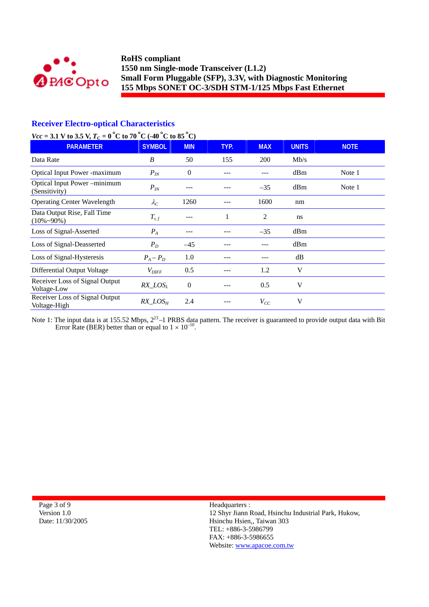

# **Receiver Electro-optical Characteristics**

# *Vcc* = 3.1 V to 3.5 V,  $T_c = 0^\circ$ C to 70  $^{\circ}$ C (-40  $^{\circ}$ C to 85  $^{\circ}$ C)

| <b>PARAMETER</b>                                  | <b>SYMBOL</b>     | <b>MIN</b> | TYP. | <b>MAX</b> | <b>UNITS</b> | <b>NOTE</b> |
|---------------------------------------------------|-------------------|------------|------|------------|--------------|-------------|
| Data Rate                                         | B                 | 50         | 155  | 200        | Mb/s         |             |
| <b>Optical Input Power -maximum</b>               | $P_{IN}$          | $\Omega$   |      |            | dBm          | Note 1      |
| Optical Input Power-minimum<br>(Sensitivity)      | $P_{I\!N}$        |            |      | $-35$      | dBm          | Note 1      |
| <b>Operating Center Wavelength</b>                | $\lambda_C$       | 1260       |      | 1600       | nm           |             |
| Data Output Rise, Fall Time<br>$(10\% \sim 90\%)$ | $T_{r,f}$         |            |      | 2          | ns           |             |
| Loss of Signal-Asserted                           | $P_{A}$           |            |      | $-35$      | dBm          |             |
| Loss of Signal-Deasserted                         | $P_D$             | $-45$      |      |            | dBm          |             |
| Loss of Signal-Hysteresis                         | $P_A - P_D$       | 1.0        |      |            | dB           |             |
| Differential Output Voltage                       | $V_{\text{DIFF}}$ | 0.5        |      | 1.2        | V            |             |
| Receiver Loss of Signal Output<br>Voltage-Low     | $RX\_LOS_L$       | $\theta$   |      | 0.5        | V            |             |
| Receiver Loss of Signal Output<br>Voltage-High    | $RX\_LOS_H$       | 2.4        |      | $V_{CC}$   | V            |             |

Note 1: The input data is at 155.52 Mbps,  $2^{23}$ –1 PRBS data pattern. The receiver is guaranteed to provide output data with Bit Error Rate (BER) better than or equal to  $1 \times 10^{-10}$ .

| Page 3 of 9      |
|------------------|
| Version 1.0      |
| Date: 11/30/2005 |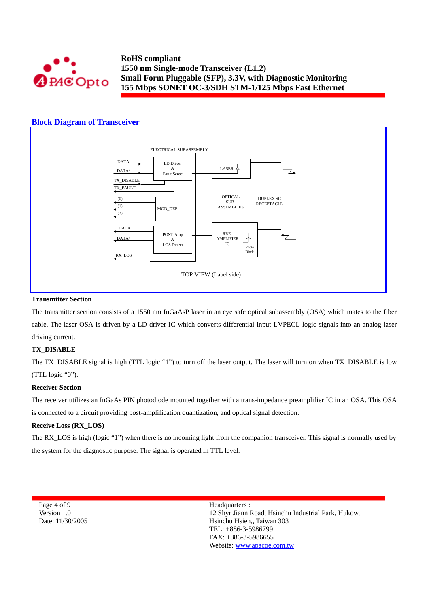

## **Block Diagram of Transceiver**



#### **Transmitter Section**

The transmitter section consists of a 1550 nm InGaAsP laser in an eye safe optical subassembly (OSA) which mates to the fiber cable. The laser OSA is driven by a LD driver IC which converts differential input LVPECL logic signals into an analog laser driving current.

#### **TX\_DISABLE**

The TX\_DISABLE signal is high (TTL logic "1") to turn off the laser output. The laser will turn on when TX\_DISABLE is low (TTL logic "0").

#### **Receiver Section**

The receiver utilizes an InGaAs PIN photodiode mounted together with a trans-impedance preamplifier IC in an OSA. This OSA is connected to a circuit providing post-amplification quantization, and optical signal detection.

#### **Receive Loss (RX\_LOS)**

The RX LOS is high (logic "1") when there is no incoming light from the companion transceiver. This signal is normally used by the system for the diagnostic purpose. The signal is operated in TTL level.

Page 4 of 9 Version 1.0 Date: 11/30/2005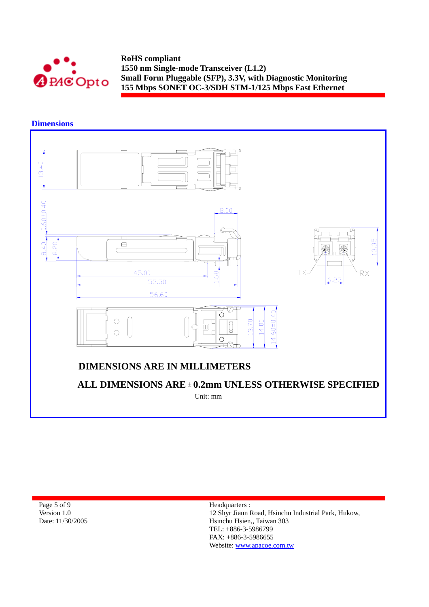

**Dimensions** 



| Page 5 of 9      |  |  |
|------------------|--|--|
| Version 1.0      |  |  |
| Date: 11/30/2005 |  |  |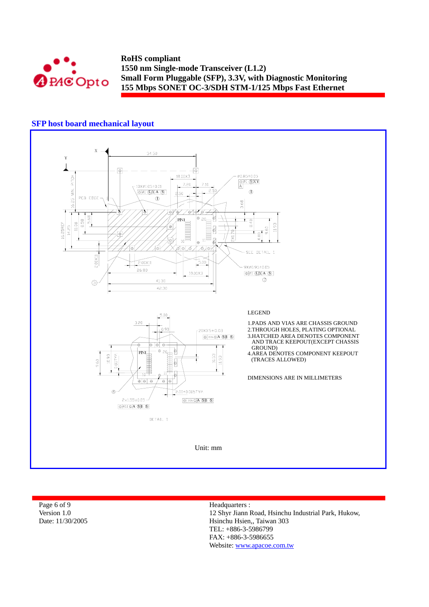

## **SFP host board mechanical layout**



| Page 6 of 9      | Headquarters :                                      |
|------------------|-----------------------------------------------------|
| Version 1.0      | 12 Shyr Jiann Road, Hsinchu Industrial Park, Hukow, |
| Date: 11/30/2005 | Hsinchu Hsien., Taiwan 303                          |
|                  | $TEL: +886-3-5986799$                               |
|                  | _____ ____                                          |

FAX: +886-3-5986655 Website: www.apacoe.com.tw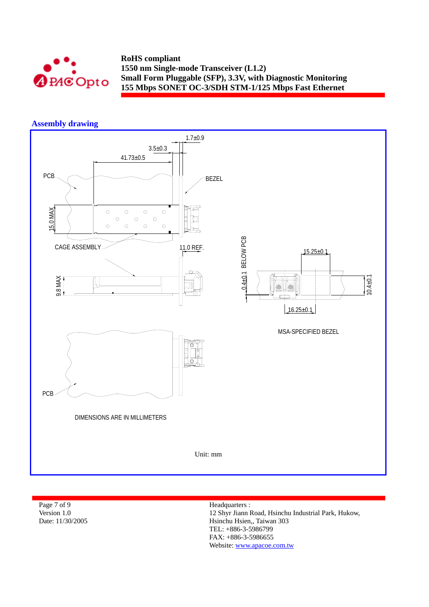

# **Assembly drawing**



| Page 7 of 9      | Headquarters :                                      |
|------------------|-----------------------------------------------------|
| Version 1.0      | 12 Shyr Jiann Road, Hsinchu Industrial Park, Hukow, |
| Date: 11/30/2005 | Hsinchu Hsien., Taiwan 303                          |
|                  | TEL: +886-3-5986799                                 |
|                  | _____ _____                                         |

FAX: +886-3-5986655 Website: www.apacoe.com.tw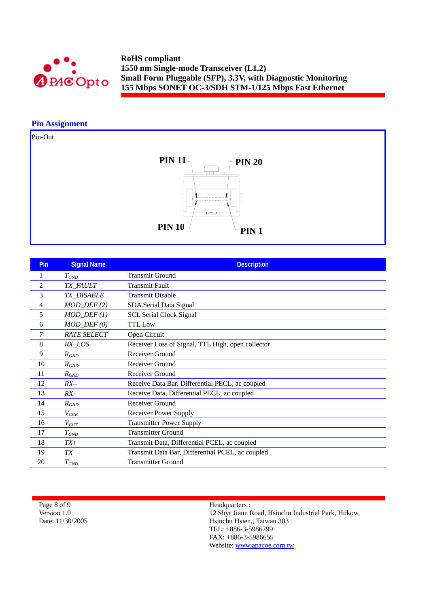

# **Pin Assignment**

Pin-Out



| Pin            | <b>Signal Name</b>      | <b>Description</b>                                |
|----------------|-------------------------|---------------------------------------------------|
|                | $T_{GND}$               | <b>Transmit Ground</b>                            |
| $\overline{c}$ | TX_FAULT                | <b>Transmit Fault</b>                             |
| 3              | <b>TX_DISABLE</b>       | <b>Transmit Disable</b>                           |
| 4              | $MOD_$ <i>DEF</i> $(2)$ | SDA Serial Data Signal                            |
| 5              | $MOD_DEF(1)$            | <b>SCL Serial Clock Signal</b>                    |
| 6              | $MOD_$ <i>DEF</i> $(0)$ | <b>TTL Low</b>                                    |
| 7              | <b>RATE SELECT</b>      | Open Circuit                                      |
| 8              | RX_LOS                  | Receiver Loss of Signal, TTL High, open collector |
| 9              | $R_{GND}$               | Receiver Ground                                   |
| 10             | $R_{GND}$               | Receiver Ground                                   |
| 11             | $R_{GND}$               | Receiver Ground                                   |
| 12             | $RX-$                   | Receive Data Bar, Differential PECL, ac coupled   |
| 13             | $RX+$                   | Receive Data, Differential PECL, ac coupled       |
| 14             | $R_{GND}$               | Receiver Ground                                   |
| 15             | $V_{CCR}$               | Receiver Power Supply                             |
| 16             | $V_{CCT}$               | <b>Transmitter Power Supply</b>                   |
| 17             | $T_{GND}$               | <b>Transmitter Ground</b>                         |
| 18             | $TX+$                   | Transmit Data, Differential PCEL, ac coupled      |
| 19             | $TX-$                   | Transmit Data Bar, Differential PCEL, ac coupled  |
| 20             | $T_{GND}$               | <b>Transmitter Ground</b>                         |

Page 8 of 9 Version 1.0 Date: 11/30/2005